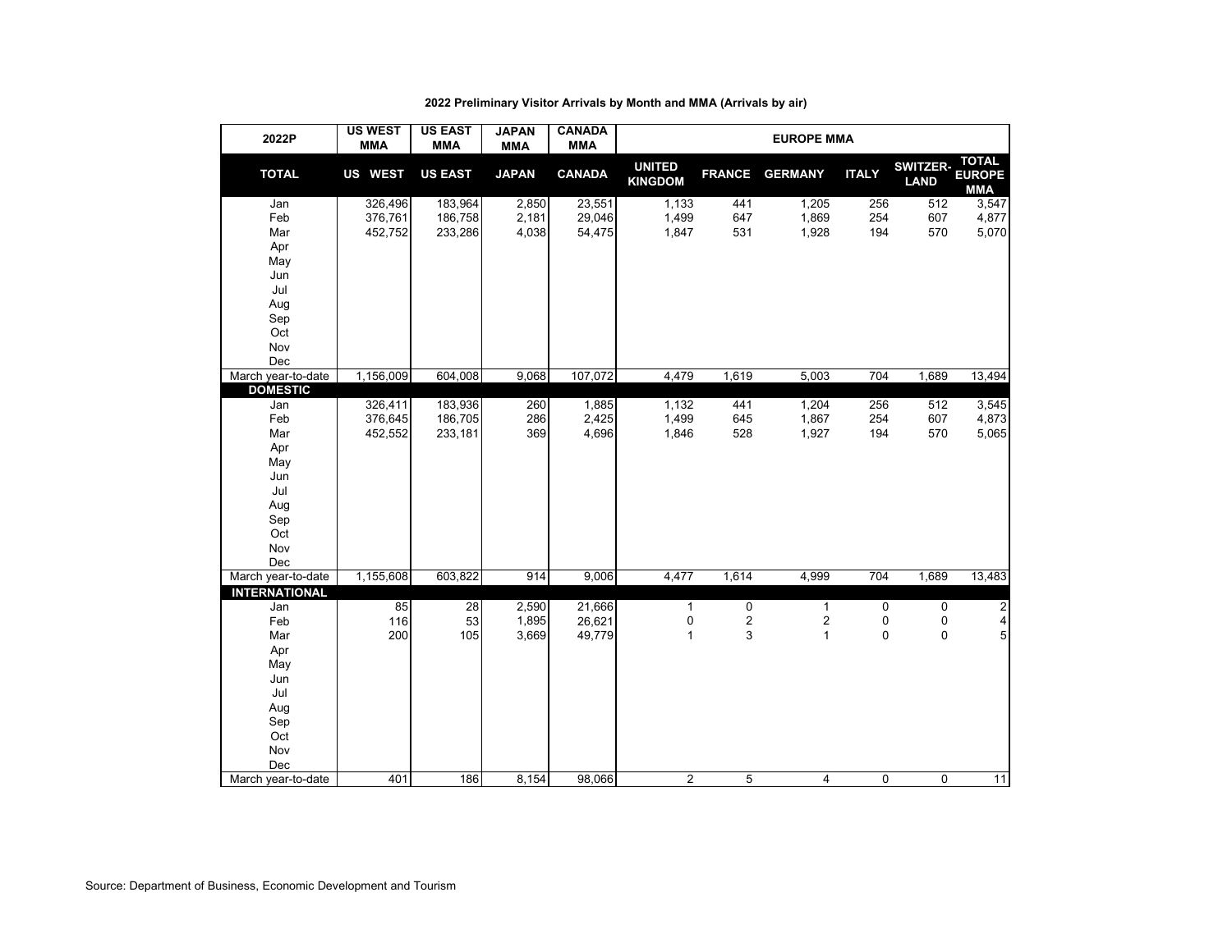| 2022P                | <b>US WEST</b><br><b>MMA</b> | <b>US EAST</b><br><b>MMA</b> | <b>JAPAN</b><br><b>MMA</b> | <b>CANADA</b><br><b>MMA</b> | <b>EUROPE MMA</b>               |               |                |              |                                |                                             |  |  |  |
|----------------------|------------------------------|------------------------------|----------------------------|-----------------------------|---------------------------------|---------------|----------------|--------------|--------------------------------|---------------------------------------------|--|--|--|
| <b>TOTAL</b>         | <b>US WEST</b>               | <b>US EAST</b>               | <b>JAPAN</b>               | <b>CANADA</b>               | <b>UNITED</b><br><b>KINGDOM</b> | <b>FRANCE</b> | <b>GERMANY</b> | <b>ITALY</b> | <b>SWITZER-</b><br><b>LAND</b> | <b>TOTAL</b><br><b>EUROPE</b><br><b>MMA</b> |  |  |  |
| Jan                  | 326,496                      | 183,964                      | 2,850                      | 23,551                      | 1,133                           | 441           | 1,205          | 256          | 512                            | 3,547                                       |  |  |  |
| Feb                  | 376,761                      | 186,758                      | 2,181                      | 29,046                      | 1,499                           | 647           | 1,869          | 254          | 607                            | 4,877                                       |  |  |  |
| Mar                  | 452,752                      | 233,286                      | 4,038                      | 54,475                      | 1,847                           | 531           | 1,928          | 194          | 570                            | 5,070                                       |  |  |  |
| Apr                  |                              |                              |                            |                             |                                 |               |                |              |                                |                                             |  |  |  |
| May                  |                              |                              |                            |                             |                                 |               |                |              |                                |                                             |  |  |  |
| Jun                  |                              |                              |                            |                             |                                 |               |                |              |                                |                                             |  |  |  |
| Jul                  |                              |                              |                            |                             |                                 |               |                |              |                                |                                             |  |  |  |
| Aug                  |                              |                              |                            |                             |                                 |               |                |              |                                |                                             |  |  |  |
| Sep                  |                              |                              |                            |                             |                                 |               |                |              |                                |                                             |  |  |  |
| Oct                  |                              |                              |                            |                             |                                 |               |                |              |                                |                                             |  |  |  |
| Nov<br>Dec           |                              |                              |                            |                             |                                 |               |                |              |                                |                                             |  |  |  |
| March year-to-date   | 1,156,009                    | 604,008                      | 9,068                      | 107,072                     | 4,479                           | 1,619         | 5,003          | 704          | 1,689                          | 13,494                                      |  |  |  |
| <b>DOMESTIC</b>      |                              |                              |                            |                             |                                 |               |                |              |                                |                                             |  |  |  |
| Jan                  | 326,411                      | 183,936                      | 260                        | 1,885                       | 1,132                           | 441           | 1,204          | 256          | 512                            | 3,545                                       |  |  |  |
| Feb                  | 376,645                      | 186,705                      | 286                        | 2,425                       | 1,499                           | 645           | 1,867          | 254          | 607                            | 4,873                                       |  |  |  |
| Mar                  | 452,552                      | 233,181                      | 369                        | 4,696                       | 1,846                           | 528           | 1,927          | 194          | 570                            | 5,065                                       |  |  |  |
| Apr                  |                              |                              |                            |                             |                                 |               |                |              |                                |                                             |  |  |  |
| May                  |                              |                              |                            |                             |                                 |               |                |              |                                |                                             |  |  |  |
| Jun                  |                              |                              |                            |                             |                                 |               |                |              |                                |                                             |  |  |  |
| Jul                  |                              |                              |                            |                             |                                 |               |                |              |                                |                                             |  |  |  |
| Aug                  |                              |                              |                            |                             |                                 |               |                |              |                                |                                             |  |  |  |
| Sep                  |                              |                              |                            |                             |                                 |               |                |              |                                |                                             |  |  |  |
| Oct                  |                              |                              |                            |                             |                                 |               |                |              |                                |                                             |  |  |  |
| Nov<br>Dec           |                              |                              |                            |                             |                                 |               |                |              |                                |                                             |  |  |  |
| March year-to-date   | 1,155,608                    | 603,822                      | 914                        | 9,006                       | 4,477                           | 1,614         | 4,999          | 704          | 1,689                          | 13,483                                      |  |  |  |
| <b>INTERNATIONAL</b> |                              |                              |                            |                             |                                 |               |                |              |                                |                                             |  |  |  |
| Jan                  | 85                           | $\overline{28}$              | 2,590                      | 21,666                      | $\mathbf{1}$                    | 0             | $\mathbf{1}$   | 0            | $\mathbf 0$                    | $\overline{c}$                              |  |  |  |
| Feb                  | 116                          | 53                           | 1,895                      | 26,621                      | $\pmb{0}$                       | 2             | 2              | 0            | 0                              | $\overline{4}$                              |  |  |  |
| Mar                  | 200                          | 105                          | 3,669                      | 49,779                      | $\mathbf{1}$                    | 3             | $\mathbf{1}$   | $\pmb{0}$    | 0                              | $\overline{5}$                              |  |  |  |
| Apr                  |                              |                              |                            |                             |                                 |               |                |              |                                |                                             |  |  |  |
| May                  |                              |                              |                            |                             |                                 |               |                |              |                                |                                             |  |  |  |
| Jun                  |                              |                              |                            |                             |                                 |               |                |              |                                |                                             |  |  |  |
| Jul                  |                              |                              |                            |                             |                                 |               |                |              |                                |                                             |  |  |  |
| Aug                  |                              |                              |                            |                             |                                 |               |                |              |                                |                                             |  |  |  |
| Sep                  |                              |                              |                            |                             |                                 |               |                |              |                                |                                             |  |  |  |
| Oct                  |                              |                              |                            |                             |                                 |               |                |              |                                |                                             |  |  |  |
| Nov<br>Dec           |                              |                              |                            |                             |                                 |               |                |              |                                |                                             |  |  |  |
| March year-to-date   | 401                          | 186                          | 8,154                      | 98,066                      | $\overline{c}$                  | 5             | 4              | 0            | 0                              | 11                                          |  |  |  |
|                      |                              |                              |                            |                             |                                 |               |                |              |                                |                                             |  |  |  |

# **2022 Preliminary Visitor Arrivals by Month and MMA (Arrivals by air)**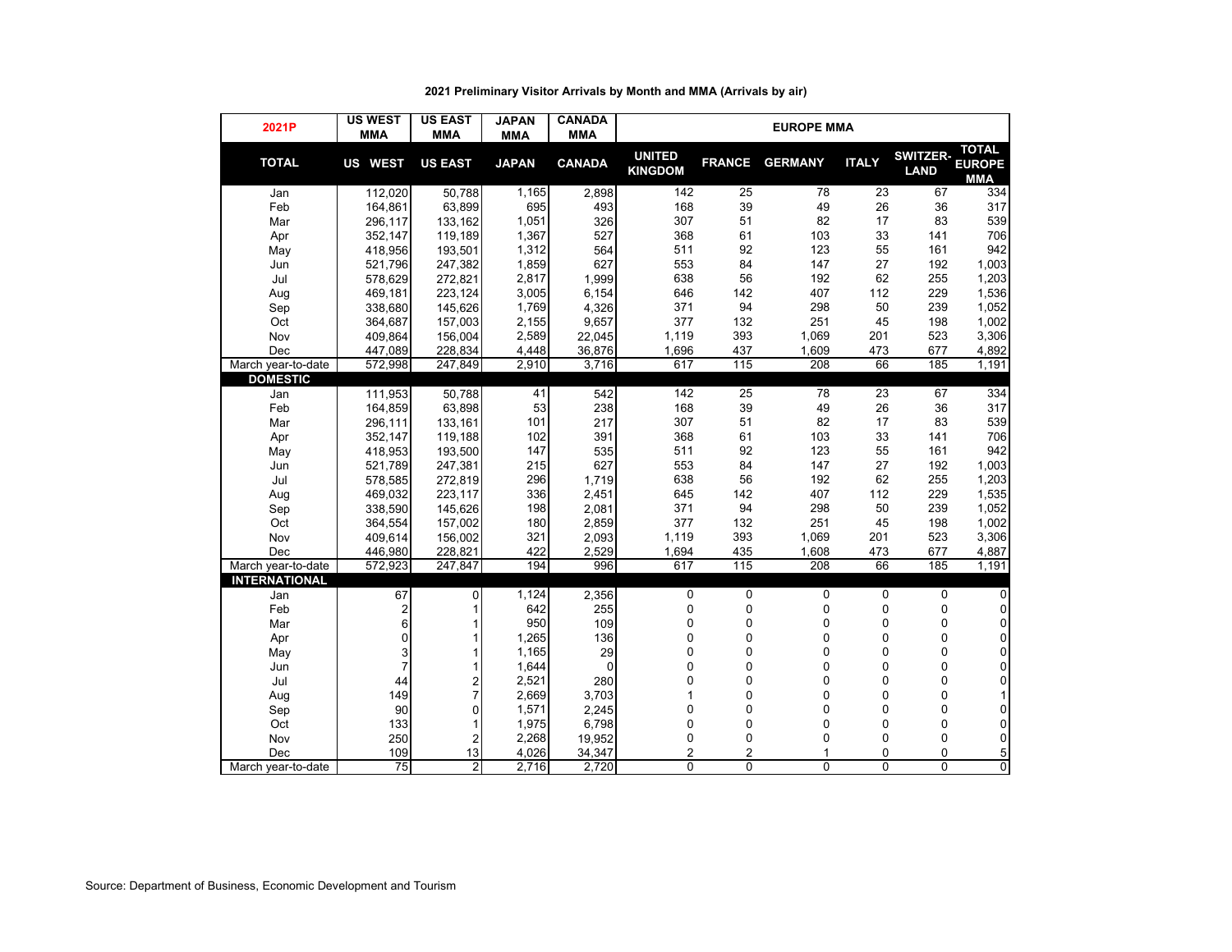| 2021P                | <b>US WEST</b><br><b>MMA</b> | <b>US EAST</b><br><b>MMA</b> | <b>JAPAN</b><br><b>MMA</b> | <b>CANADA</b><br><b>MMA</b> | <b>EUROPE MMA</b>               |                |                  |              |                                |                                             |  |  |  |
|----------------------|------------------------------|------------------------------|----------------------------|-----------------------------|---------------------------------|----------------|------------------|--------------|--------------------------------|---------------------------------------------|--|--|--|
| <b>TOTAL</b>         | US WEST                      | <b>US EAST</b>               | <b>JAPAN</b>               | <b>CANADA</b>               | <b>UNITED</b><br><b>KINGDOM</b> | <b>FRANCE</b>  | <b>GERMANY</b>   | <b>ITALY</b> | <b>SWITZER-</b><br><b>LAND</b> | <b>TOTAL</b><br><b>EUROPE</b><br><b>MMA</b> |  |  |  |
| Jan                  | 112,020                      | 50,788                       | 1,165                      | 2,898                       | 142                             | 25             | 78               | 23           | 67                             | 334                                         |  |  |  |
| Feb                  | 164,861                      | 63,899                       | 695                        | 493                         | 168                             | 39             | 49               | 26           | 36                             | 317                                         |  |  |  |
| Mar                  | 296,117                      | 133,162                      | 1,051                      | 326                         | 307                             | 51             | 82               | 17           | 83                             | 539                                         |  |  |  |
| Apr                  | 352,147                      | 119,189                      | 1,367                      | 527                         | 368                             | 61             | 103              | 33           | 141                            | 706                                         |  |  |  |
| May                  | 418,956                      | 193,501                      | 1,312                      | 564                         | 511                             | 92             | 123              | 55           | 161                            | 942                                         |  |  |  |
| Jun                  | 521,796                      | 247,382                      | 1,859                      | 627                         | 553                             | 84             | 147              | 27           | 192                            | 1,003                                       |  |  |  |
| Jul                  | 578,629                      | 272,821                      | 2,817                      | 1,999                       | 638                             | 56             | 192              | 62           | 255                            | 1,203                                       |  |  |  |
| Aug                  | 469,181                      | 223,124                      | 3,005                      | 6,154                       | 646                             | 142            | 407              | 112          | 229                            | 1,536                                       |  |  |  |
| Sep                  | 338,680                      | 145,626                      | 1,769                      | 4,326                       | 371                             | 94             | 298              | 50           | 239                            | 1,052                                       |  |  |  |
| Oct                  | 364,687                      | 157,003                      | 2,155                      | 9,657                       | 377                             | 132            | 251              | 45           | 198                            | 1,002                                       |  |  |  |
| Nov                  | 409,864                      | 156,004                      | 2,589                      | 22,045                      | 1,119                           | 393            | 1,069            | 201          | 523                            | 3,306                                       |  |  |  |
| Dec                  | 447,089                      | 228,834                      | 4,448                      | 36,876                      | 1,696                           | 437            | 1,609            | 473          | 677                            | 4,892                                       |  |  |  |
| March year-to-date   | 572,998                      | 247,849                      | 2,910                      | 3,716                       | 617                             | 115            | 208              | 66           | 185                            | 1,191                                       |  |  |  |
| <b>DOMESTIC</b>      |                              |                              |                            |                             |                                 |                |                  |              |                                |                                             |  |  |  |
| Jan                  | 111,953                      | 50,788                       | 41                         | 542                         | 142                             | 25             | 78               | 23           | 67                             | 334                                         |  |  |  |
| Feb                  | 164,859                      | 63,898                       | 53                         | 238                         | 168                             | 39             | 49               | 26           | 36                             | 317                                         |  |  |  |
| Mar                  | 296,111                      | 133,161                      | 101                        | 217                         | 307                             | 51             | 82               | 17           | 83                             | 539                                         |  |  |  |
| Apr                  | 352,147                      | 119,188                      | 102                        | 391                         | 368                             | 61             | 103              | 33           | 141                            | 706                                         |  |  |  |
| May                  | 418,953                      | 193,500                      | 147                        | 535                         | 511                             | 92             | 123              | 55           | 161                            | 942                                         |  |  |  |
| Jun                  | 521,789                      | 247,381                      | 215                        | 627                         | 553                             | 84             | 147              | 27           | 192                            | 1,003                                       |  |  |  |
| Jul                  | 578,585                      | 272,819                      | 296                        | 1,719                       | 638                             | 56             | 192              | 62           | 255                            | 1,203                                       |  |  |  |
| Aug                  | 469,032                      | 223,117                      | 336                        | 2,451                       | 645                             | 142            | 407              | 112          | 229                            | 1,535                                       |  |  |  |
| Sep                  | 338,590                      | 145,626                      | 198                        | 2,081                       | 371                             | 94             | 298              | 50           | 239                            | 1,052                                       |  |  |  |
| Oct                  | 364,554                      | 157,002                      | 180                        | 2,859                       | 377                             | 132            | 251              | 45           | 198                            | 1,002                                       |  |  |  |
| Nov                  | 409,614                      | 156,002                      | 321                        | 2,093                       | 1,119                           | 393            | 1,069            | 201          | 523                            | 3,306                                       |  |  |  |
| Dec                  | 446.980                      | 228,821                      | 422                        | 2.529                       | 1,694                           | 435            | 1,608            | 473          | 677                            | 4,887                                       |  |  |  |
| March year-to-date   | 572,923                      | 247,847                      | 194                        | 996                         | 617                             | 115            | $\overline{208}$ | 66           | 185                            | 1,191                                       |  |  |  |
| <b>INTERNATIONAL</b> |                              |                              |                            |                             |                                 |                |                  |              |                                |                                             |  |  |  |
| Jan                  | 67                           | 0                            | 1,124                      | 2,356                       | $\mathbf 0$                     | 0              | 0                | $\mathbf 0$  | 0                              | 0                                           |  |  |  |
| Feb                  | 2                            | 1                            | 642                        | 255                         | $\pmb{0}$                       | 0              | 0                | $\pmb{0}$    | 0                              | $\mathbf 0$                                 |  |  |  |
| Mar                  | 6                            |                              | 950                        | 109                         | 0                               | 0              | 0                | 0            | 0                              | 0                                           |  |  |  |
| Apr                  | 0                            |                              | 1,265                      | 136                         | 0                               | 0              | 0                | 0            | 0                              | 0                                           |  |  |  |
| May                  | 3                            |                              | 1,165                      | 29                          | 0                               | 0              | 0                | 0            | 0                              | 0                                           |  |  |  |
| Jun                  | $\overline{7}$               |                              | 1,644                      | $\mathbf 0$                 | 0                               | 0              | 0                | 0            | $\mathbf 0$                    | 0                                           |  |  |  |
| Jul                  | 44                           | 2                            | 2,521                      | 280                         | 0                               | 0              | 0                | 0            | 0                              | 0                                           |  |  |  |
| Aug                  | 149                          | 7                            | 2,669                      | 3,703                       | 1                               | 0              | 0                | 0            | 0                              | 1                                           |  |  |  |
| Sep                  | 90                           | 0                            | 1,571                      | 2,245                       | 0                               | 0              | 0                | $\Omega$     | 0                              | 0                                           |  |  |  |
| Oct                  | 133                          | 1                            | 1,975                      | 6,798                       | 0                               | 0              | 0                | 0            | 0                              | 0                                           |  |  |  |
| Nov                  | 250                          | $\overline{2}$               | 2,268                      | 19,952                      | 0                               | 0              | 0                | 0            | 0                              | 0                                           |  |  |  |
| Dec                  | 109                          | 13                           | 4,026                      | 34,347                      | $\overline{2}$                  | $\overline{2}$ | 1                | $\mathbf{0}$ | $\mathbf 0$                    | 5                                           |  |  |  |
| March year-to-date   | 75                           | $\overline{2}$               | 2,716                      | 2,720                       | $\overline{0}$                  | 0              | $\Omega$         | $\Omega$     | 0                              | 0                                           |  |  |  |

# **2021 Preliminary Visitor Arrivals by Month and MMA (Arrivals by air)**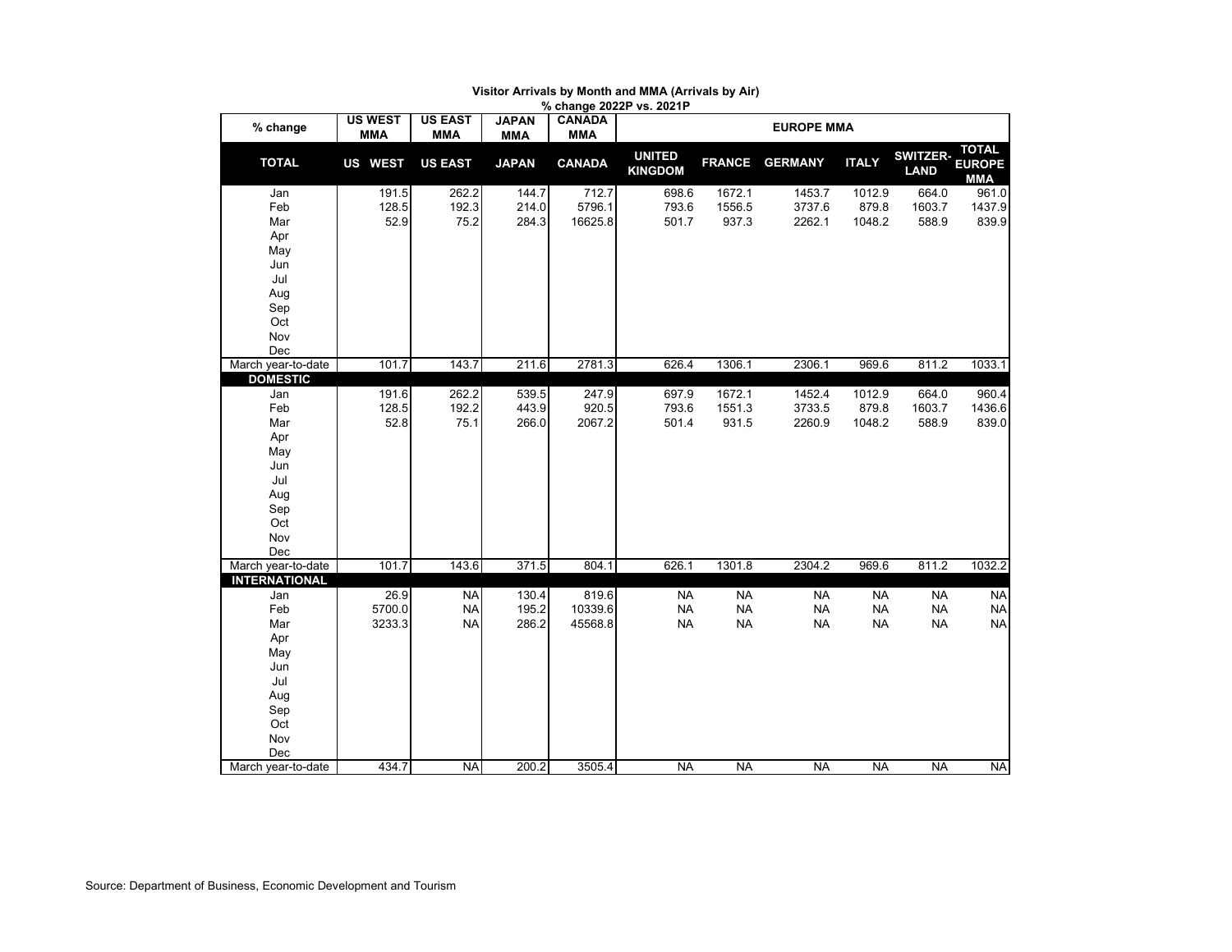| % change             | <b>US WEST</b><br><b>MMA</b> | <b>US EAST</b><br><b>MMA</b> | <b>JAPAN</b><br><b>MMA</b> | .<br><b>CANADA</b><br><b>MMA</b> |                                 |               | <b>EUROPE MMA</b> |              |                                |                                             |
|----------------------|------------------------------|------------------------------|----------------------------|----------------------------------|---------------------------------|---------------|-------------------|--------------|--------------------------------|---------------------------------------------|
| <b>TOTAL</b>         | US WEST                      | <b>US EAST</b>               | <b>JAPAN</b>               | <b>CANADA</b>                    | <b>UNITED</b><br><b>KINGDOM</b> | <b>FRANCE</b> | <b>GERMANY</b>    | <b>ITALY</b> | <b>SWITZER-</b><br><b>LAND</b> | <b>TOTAL</b><br><b>EUROPE</b><br><b>MMA</b> |
| Jan                  | 191.5                        | 262.2                        | 144.7                      | 712.7                            | 698.6                           | 1672.1        | 1453.7            | 1012.9       | 664.0                          | 961.0                                       |
| Feb                  | 128.5                        | 192.3                        | 214.0                      | 5796.1                           | 793.6                           | 1556.5        | 3737.6            | 879.8        | 1603.7                         | 1437.9                                      |
| Mar                  | 52.9                         | 75.2                         | 284.3                      | 16625.8                          | 501.7                           | 937.3         | 2262.1            | 1048.2       | 588.9                          | 839.9                                       |
| Apr                  |                              |                              |                            |                                  |                                 |               |                   |              |                                |                                             |
| May                  |                              |                              |                            |                                  |                                 |               |                   |              |                                |                                             |
| Jun                  |                              |                              |                            |                                  |                                 |               |                   |              |                                |                                             |
| Jul                  |                              |                              |                            |                                  |                                 |               |                   |              |                                |                                             |
| Aug                  |                              |                              |                            |                                  |                                 |               |                   |              |                                |                                             |
| Sep                  |                              |                              |                            |                                  |                                 |               |                   |              |                                |                                             |
| Oct                  |                              |                              |                            |                                  |                                 |               |                   |              |                                |                                             |
| Nov                  |                              |                              |                            |                                  |                                 |               |                   |              |                                |                                             |
| Dec                  |                              |                              |                            |                                  |                                 |               |                   |              |                                |                                             |
| March year-to-date   | 101.7                        | 143.7                        | 211.6                      | 2781.3                           | 626.4                           | 1306.1        | 2306.1            | 969.6        | 811.2                          | 1033.1                                      |
| <b>DOMESTIC</b>      |                              |                              |                            |                                  |                                 |               |                   |              |                                |                                             |
| Jan                  | 191.6                        | 262.2                        | 539.5                      | 247.9                            | 697.9                           | 1672.1        | 1452.4            | 1012.9       | 664.0                          | 960.4                                       |
| Feb                  | 128.5                        | 192.2                        | 443.9                      | 920.5                            | 793.6                           | 1551.3        | 3733.5            | 879.8        | 1603.7                         | 1436.6                                      |
| Mar                  | 52.8                         | 75.1                         | 266.0                      | 2067.2                           | 501.4                           | 931.5         | 2260.9            | 1048.2       | 588.9                          | 839.0                                       |
| Apr                  |                              |                              |                            |                                  |                                 |               |                   |              |                                |                                             |
| May                  |                              |                              |                            |                                  |                                 |               |                   |              |                                |                                             |
| Jun                  |                              |                              |                            |                                  |                                 |               |                   |              |                                |                                             |
| Jul                  |                              |                              |                            |                                  |                                 |               |                   |              |                                |                                             |
| Aug                  |                              |                              |                            |                                  |                                 |               |                   |              |                                |                                             |
| Sep<br>Oct           |                              |                              |                            |                                  |                                 |               |                   |              |                                |                                             |
| Nov                  |                              |                              |                            |                                  |                                 |               |                   |              |                                |                                             |
| Dec                  |                              |                              |                            |                                  |                                 |               |                   |              |                                |                                             |
| March year-to-date   | 101.7                        | 143.6                        | 371.5                      | 804.1                            | 626.1                           | 1301.8        | 2304.2            | 969.6        | 811.2                          | 1032.2                                      |
| <b>INTERNATIONAL</b> |                              |                              |                            |                                  |                                 |               |                   |              |                                |                                             |
| Jan                  | 26.9                         | NA                           | 130.4                      | 819.6                            | <b>NA</b>                       | <b>NA</b>     | <b>NA</b>         | NA           | <b>NA</b>                      | <b>NA</b>                                   |
| Feb                  | 5700.0                       | <b>NA</b>                    | 195.2                      | 10339.6                          | <b>NA</b>                       | <b>NA</b>     | <b>NA</b>         | <b>NA</b>    | <b>NA</b>                      | <b>NA</b>                                   |
| Mar                  | 3233.3                       | <b>NA</b>                    | 286.2                      | 45568.8                          | <b>NA</b>                       | <b>NA</b>     | <b>NA</b>         | <b>NA</b>    | <b>NA</b>                      | <b>NA</b>                                   |
| Apr                  |                              |                              |                            |                                  |                                 |               |                   |              |                                |                                             |
| May                  |                              |                              |                            |                                  |                                 |               |                   |              |                                |                                             |
| Jun                  |                              |                              |                            |                                  |                                 |               |                   |              |                                |                                             |
| Jul                  |                              |                              |                            |                                  |                                 |               |                   |              |                                |                                             |
| Aug                  |                              |                              |                            |                                  |                                 |               |                   |              |                                |                                             |
| Sep                  |                              |                              |                            |                                  |                                 |               |                   |              |                                |                                             |
| Oct                  |                              |                              |                            |                                  |                                 |               |                   |              |                                |                                             |
| Nov                  |                              |                              |                            |                                  |                                 |               |                   |              |                                |                                             |
| Dec                  |                              |                              |                            |                                  |                                 |               |                   |              |                                |                                             |
| March year-to-date   | 434.7                        | <b>NA</b>                    | 200.2                      | 3505.4                           | <b>NA</b>                       | <b>NA</b>     | <b>NA</b>         | <b>NA</b>    | <b>NA</b>                      | <b>NA</b>                                   |

### **% change 2022P vs. 2021P Visitor Arrivals by Month and MMA (Arrivals by Air)**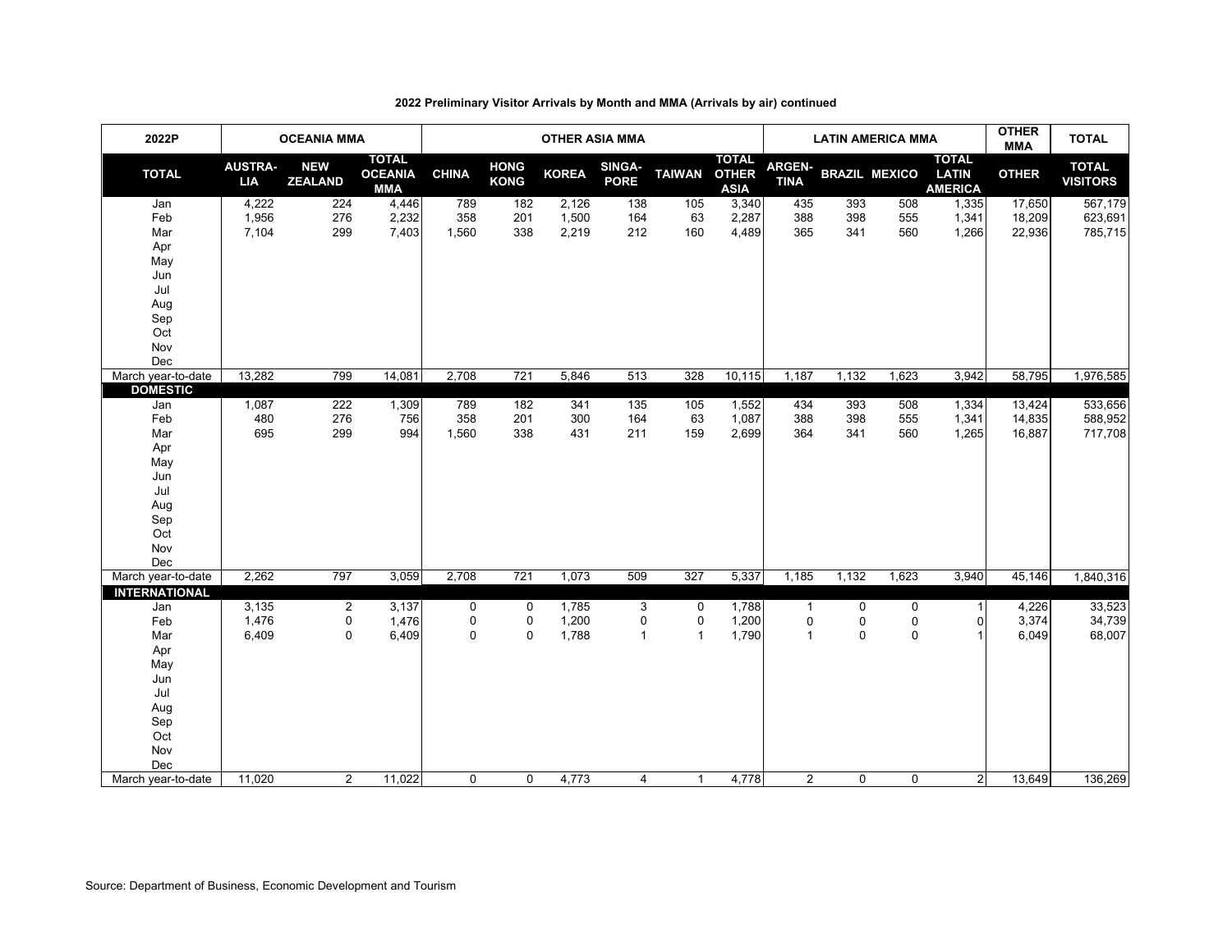| 2022P                                                                                                    | <b>OCEANIA MMA</b>           |                                    |                                              | <b>OTHER ASIA MMA</b> |                                 |                         |                              |                                  |                                             |                                     | <b>LATIN AMERICA MMA</b> | <b>OTHER</b><br><b>MMA</b> | <b>TOTAL</b>                                   |                            |                                 |
|----------------------------------------------------------------------------------------------------------|------------------------------|------------------------------------|----------------------------------------------|-----------------------|---------------------------------|-------------------------|------------------------------|----------------------------------|---------------------------------------------|-------------------------------------|--------------------------|----------------------------|------------------------------------------------|----------------------------|---------------------------------|
| <b>TOTAL</b>                                                                                             | <b>AUSTRA-</b><br><b>LIA</b> | <b>NEW</b><br><b>ZEALAND</b>       | <b>TOTAL</b><br><b>OCEANIA</b><br><b>MMA</b> | <b>CHINA</b>          | <b>HONG</b><br><b>KONG</b>      | <b>KOREA</b>            | <b>SINGA-</b><br><b>PORE</b> | <b>TAIWAN</b>                    | <b>TOTAL</b><br><b>OTHER</b><br><b>ASIA</b> | <b>ARGEN-</b><br><b>TINA</b>        |                          | <b>BRAZIL MEXICO</b>       | <b>TOTAL</b><br><b>LATIN</b><br><b>AMERICA</b> | <b>OTHER</b>               | <b>TOTAL</b><br><b>VISITORS</b> |
| Jan<br>Feb<br>Mar<br>Apr<br>May<br>Jun<br>Jul                                                            | 4,222<br>1,956<br>7,104      | 224<br>276<br>299                  | 4,446<br>2,232<br>7,403                      | 789<br>358<br>1,560   | 182<br>201<br>338               | 2,126<br>1,500<br>2,219 | 138<br>164<br>212            | 105<br>63<br>160                 | 3,340<br>2,287<br>4,489                     | 435<br>388<br>365                   | 393<br>398<br>341        | 508<br>555<br>560          | 1,335<br>1,341<br>1,266                        | 17,650<br>18,209<br>22,936 | 567,179<br>623,691<br>785,715   |
| Aug<br>Sep<br>Oct<br>Nov<br>Dec                                                                          |                              |                                    |                                              |                       |                                 |                         |                              |                                  |                                             |                                     |                          |                            |                                                |                            |                                 |
| March year-to-date<br><b>DOMESTIC</b>                                                                    | 13,282                       | 799                                | 14,081                                       | 2,708                 | 721                             | 5,846                   | 513                          | 328                              | 10,115                                      | 1,187                               | 1,132                    | 1,623                      | 3,942                                          | 58,795                     | 1,976,585                       |
| Jan<br>Feb<br>Mar<br>Apr<br>May<br>Jun<br>Jul<br>Aug<br>Sep<br>Oct<br>Nov<br>Dec                         | 1,087<br>480<br>695          | 222<br>276<br>299                  | 1,309<br>756<br>994                          | 789<br>358<br>1,560   | 182<br>201<br>338               | 341<br>300<br>431       | 135<br>164<br>211            | 105<br>63<br>159                 | 1,552<br>1,087<br>2,699                     | 434<br>388<br>364                   | 393<br>398<br>341        | 508<br>555<br>560          | 1,334<br>1,341<br>1,265                        | 13,424<br>14,835<br>16,887 | 533,656<br>588,952<br>717,708   |
| March year-to-date                                                                                       | 2,262                        | 797                                | 3,059                                        | 2,708                 | 721                             | 1,073                   | 509                          | 327                              | 5,337                                       | 1,185                               | 1,132                    | 1,623                      | 3,940                                          | 45,146                     | 1,840,316                       |
| <b>INTERNATIONAL</b><br>Jan<br>Feb<br>Mar<br>Apr<br>May<br>Jun<br>Jul<br>Aug<br>Sep<br>Oct<br>Nov<br>Dec | 3,135<br>1,476<br>6,409      | $\overline{2}$<br>0<br>$\mathbf 0$ | 3,137<br>1,476<br>6,409                      | 0<br>0<br>$\mathbf 0$ | $\mathbf 0$<br>0<br>$\mathbf 0$ | 1,785<br>1,200<br>1,788 | 3<br>0<br>$\mathbf{1}$       | 0<br>$\mathbf 0$<br>$\mathbf{1}$ | 1,788<br>1,200<br>1,790                     | $\overline{1}$<br>0<br>$\mathbf{1}$ | 0<br>0<br>$\mathbf 0$    | 0<br>0<br>$\mathbf 0$      | $\mathbf{1}$<br>0<br>1                         | 4,226<br>3,374<br>6,049    | 33,523<br>34,739<br>68,007      |
| March year-to-date                                                                                       | 11,020                       | $\overline{2}$                     | 11,022                                       | $\mathbf 0$           | $\mathbf 0$                     | 4,773                   | 4                            | $\mathbf{1}$                     | 4,778                                       | $\overline{2}$                      | $\mathbf 0$              | 0                          | $\mathbf{2}$                                   | 13,649                     | 136,269                         |

# **2022 Preliminary Visitor Arrivals by Month and MMA (Arrivals by air) continued**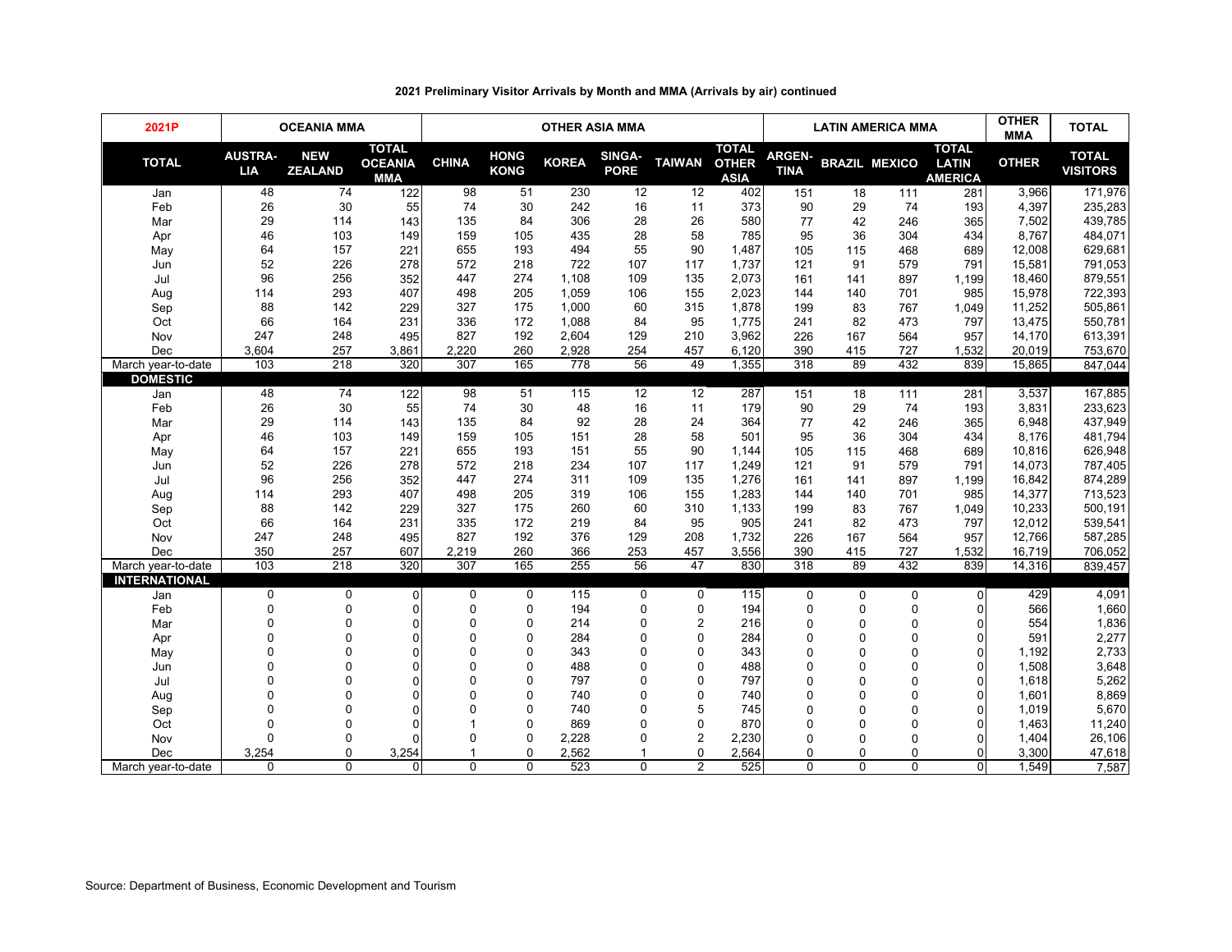| 2021P                | <b>OCEANIA MMA</b>           |                              |                                              | <b>OTHER ASIA MMA</b> |                            |              |                       |                |                                             |                              | <b>LATIN AMERICA MMA</b> | <b>OTHER</b><br><b>MMA</b> | <b>TOTAL</b>                                   |              |                                 |
|----------------------|------------------------------|------------------------------|----------------------------------------------|-----------------------|----------------------------|--------------|-----------------------|----------------|---------------------------------------------|------------------------------|--------------------------|----------------------------|------------------------------------------------|--------------|---------------------------------|
| <b>TOTAL</b>         | <b>AUSTRA-</b><br><b>LIA</b> | <b>NEW</b><br><b>ZEALAND</b> | <b>TOTAL</b><br><b>OCEANIA</b><br><b>MMA</b> | <b>CHINA</b>          | <b>HONG</b><br><b>KONG</b> | <b>KOREA</b> | SINGA-<br><b>PORE</b> | <b>TAIWAN</b>  | <b>TOTAL</b><br><b>OTHER</b><br><b>ASIA</b> | <b>ARGEN-</b><br><b>TINA</b> |                          | <b>BRAZIL MEXICO</b>       | <b>TOTAL</b><br><b>LATIN</b><br><b>AMERICA</b> | <b>OTHER</b> | <b>TOTAL</b><br><b>VISITORS</b> |
| Jan                  | 48                           | 74                           | 122                                          | 98                    | 51                         | 230          | 12                    | 12             | 402                                         | 151                          | 18                       | 111                        | 281                                            | 3,966        | 171,976                         |
| Feb                  | 26                           | 30                           | 55                                           | 74                    | 30                         | 242          | 16                    | 11             | 373                                         | 90                           | 29                       | 74                         | 193                                            | 4,397        | 235,283                         |
| Mar                  | 29                           | 114                          | 143                                          | 135                   | 84                         | 306          | 28                    | 26             | 580                                         | 77                           | 42                       | 246                        | 365                                            | 7,502        | 439,785                         |
| Apr                  | 46                           | 103                          | 149                                          | 159                   | 105                        | 435          | 28                    | 58             | 785                                         | 95                           | 36                       | 304                        | 434                                            | 8,767        | 484,071                         |
| May                  | 64                           | 157                          | 221                                          | 655                   | 193                        | 494          | 55                    | 90             | 1,487                                       | 105                          | 115                      | 468                        | 689                                            | 12,008       | 629,681                         |
| Jun                  | 52                           | 226                          | 278                                          | 572                   | 218                        | 722          | 107                   | 117            | 1,737                                       | 121                          | 91                       | 579                        | 791                                            | 15,581       | 791,053                         |
| Jul                  | 96                           | 256                          | 352                                          | 447                   | 274                        | 1,108        | 109                   | 135            | 2,073                                       | 161                          | 141                      | 897                        | 1,199                                          | 18,460       | 879,551                         |
| Aug                  | 114                          | 293                          | 407                                          | 498                   | 205                        | 1,059        | 106                   | 155            | 2,023                                       | 144                          | 140                      | 701                        | 985                                            | 15,978       | 722,393                         |
| Sep                  | 88                           | 142                          | 229                                          | 327                   | 175                        | 1,000        | 60                    | 315            | 1,878                                       | 199                          | 83                       | 767                        | 1,049                                          | 11,252       | 505,861                         |
| Oct                  | 66                           | 164                          | 231                                          | 336                   | 172                        | 1,088        | 84                    | 95             | 1,775                                       | 241                          | 82                       | 473                        | 797                                            | 13,475       | 550,781                         |
| Nov                  | 247                          | 248                          | 495                                          | 827                   | 192                        | 2,604        | 129                   | 210            | 3,962                                       | 226                          | 167                      | 564                        | 957                                            | 14,170       | 613,391                         |
| Dec                  | 3,604                        | 257                          | 3,861                                        | 2,220                 | 260                        | 2,928        | 254                   | 457            | 6,120                                       | 390                          | 415                      | 727                        | 1,532                                          | 20,019       | 753,670                         |
| March year-to-date   | 103                          | 218                          | 320                                          | 307                   | 165                        | 778          | 56                    | 49             | 1,355                                       | 318                          | 89                       | 432                        | 839                                            | 15,865       | 847,044                         |
| <b>DOMESTIC</b>      |                              |                              |                                              |                       |                            |              |                       |                |                                             |                              |                          |                            |                                                |              |                                 |
| Jan                  | 48                           | 74                           | 122                                          | 98                    | 51                         | 115          | 12                    | 12             | 287                                         | 151                          | 18                       | 111                        | 281                                            | 3,537        | 167,885                         |
| Feb                  | 26                           | 30                           | 55                                           | 74                    | 30                         | 48           | 16                    | 11             | 179                                         | 90                           | 29                       | 74                         | 193                                            | 3,831        | 233,623                         |
| Mar                  | 29                           | 114                          | 143                                          | 135                   | 84                         | 92           | 28                    | 24             | 364                                         | 77                           | 42                       | 246                        | 365                                            | 6.948        | 437,949                         |
| Apr                  | 46                           | 103                          | 149                                          | 159                   | 105                        | 151          | 28                    | 58             | 501                                         | 95                           | 36                       | 304                        | 434                                            | 8,176        | 481,794                         |
| May                  | 64                           | 157                          | 221                                          | 655                   | 193                        | 151          | 55                    | 90             | 1,144                                       | 105                          | 115                      | 468                        | 689                                            | 10,816       | 626,948                         |
| Jun                  | 52                           | 226                          | 278                                          | 572                   | 218                        | 234          | 107                   | 117            | 1,249                                       | 121                          | 91                       | 579                        | 791                                            | 14,073       | 787,405                         |
| Jul                  | 96                           | 256                          | 352                                          | 447                   | 274                        | 311          | 109                   | 135            | 1,276                                       | 161                          | 141                      | 897                        | 1,199                                          | 16,842       | 874,289                         |
| Aug                  | 114                          | 293                          | 407                                          | 498                   | 205                        | 319          | 106                   | 155            | 1,283                                       | 144                          | 140                      | 701                        | 985                                            | 14,377       | 713,523                         |
| Sep                  | 88                           | 142                          | 229                                          | 327                   | 175                        | 260          | 60                    | 310            | 1,133                                       | 199                          | 83                       | 767                        | 1,049                                          | 10,233       | 500,191                         |
| Oct                  | 66                           | 164                          | 231                                          | 335                   | 172                        | 219          | 84                    | 95             | 905                                         | 241                          | 82                       | 473                        | 797                                            | 12,012       | 539,541                         |
| Nov                  | 247                          | 248                          | 495                                          | 827                   | 192                        | 376          | 129                   | 208            | 1,732                                       | 226                          | 167                      | 564                        | 957                                            | 12,766       | 587,285                         |
| Dec                  | 350                          | 257                          | 607                                          | 2,219                 | 260                        | 366          | 253                   | 457            | 3,556                                       | 390                          | 415                      | 727                        | 1,532                                          | 16,719       | 706,052                         |
| March year-to-date   | 103                          | 218                          | 320                                          | 307                   | 165                        | 255          | 56                    | 47             | 830                                         | 318                          | 89                       | 432                        | 839                                            | 14,316       | 839,457                         |
| <b>INTERNATIONAL</b> |                              |                              |                                              |                       |                            |              |                       |                |                                             |                              |                          |                            |                                                |              |                                 |
| Jan                  | 0                            | $\mathbf 0$                  | $\Omega$                                     | $\Omega$              | $\mathbf 0$                | 115          | $\mathbf 0$           | $\mathbf 0$    | 115                                         | $\mathbf 0$                  | $\Omega$                 | $\mathbf 0$                | $\Omega$                                       | 429          | 4,091                           |
| Feb                  | $\mathbf 0$                  | $\mathbf 0$                  | 0                                            | $\mathbf 0$           | 0                          | 194          | 0                     | 0              | 194                                         | $\mathbf 0$                  | $\mathbf 0$              | $\mathbf 0$                | 0                                              | 566          | 1,660                           |
| Mar                  |                              | $\mathbf 0$                  | $\mathbf 0$                                  | $\Omega$              | $\Omega$                   | 214          | 0                     | $\overline{2}$ | 216                                         | $\Omega$                     | $\Omega$                 | $\mathbf 0$                | $\mathbf 0$                                    | 554          | 1,836                           |
| Apr                  |                              | $\mathbf{0}$                 | $\Omega$                                     | $\Omega$              | $\Omega$                   | 284          | 0                     | $\mathbf{0}$   | 284                                         | $\Omega$                     | $\Omega$                 | $\Omega$                   | $\Omega$                                       | 591          | 2,277                           |
| May                  |                              | $\Omega$                     | 0                                            | $\Omega$              | $\Omega$                   | 343          | 0                     | $\mathbf 0$    | 343                                         | $\Omega$                     | $\Omega$                 | $\mathbf 0$                | 0                                              | 1,192        | 2,733                           |
| Jun                  |                              | 0                            | $\Omega$                                     | $\Omega$              | $\Omega$                   | 488          | 0                     | $\mathbf 0$    | 488                                         | $\Omega$                     | $\Omega$                 | $\Omega$                   | $\Omega$                                       | 1,508        | 3,648                           |
| Jul                  |                              | $\Omega$                     | 0                                            | $\Omega$              | $\Omega$                   | 797          | 0                     | $\mathbf{0}$   | 797                                         | $\Omega$                     | $\Omega$                 | $\Omega$                   | $\Omega$                                       | 1,618        | 5,262                           |
| Aug                  |                              | $\Omega$                     | $\Omega$                                     | $\Omega$              | $\Omega$                   | 740          | 0                     | $\mathbf 0$    | 740                                         | $\Omega$                     | $\Omega$                 | $\Omega$                   | 0                                              | 1,601        | 8,869                           |
| Sep                  |                              | $\mathbf 0$                  | $\Omega$                                     | $\Omega$              | $\Omega$                   | 740          | 0                     | 5              | 745                                         | 0                            | $\Omega$                 | $\Omega$                   | $\mathbf 0$                                    | 1,019        | 5,670                           |
| Oct                  | $\Omega$                     | $\mathbf 0$                  | $\Omega$                                     |                       | $\mathbf 0$                | 869          | 0                     | $\mathbf 0$    | 870                                         | $\Omega$                     | $\Omega$                 | $\Omega$                   | $\mathbf 0$                                    | 1,463        | 11,240                          |
| Nov                  | $\Omega$                     | $\Omega$                     | U                                            | $\Omega$              | $\Omega$                   | 2,228        | 0                     | $\overline{2}$ | 2,230                                       | $\Omega$                     | $\Omega$                 | $\Omega$                   | $\Omega$                                       | 1,404        | 26,106                          |
| Dec                  | 3,254                        | $\Omega$                     | 3,254                                        |                       | $\mathbf 0$                | 2,562        |                       | $\Omega$       | 2,564                                       | $\Omega$                     | $\Omega$                 | $\Omega$                   | 0                                              | 3,300        | 47,618                          |
| March year-to-date   | $\Omega$                     | $\Omega$                     | $\overline{0}$                               | $\Omega$              | $\Omega$                   | 523          | $\Omega$              | $\overline{2}$ | 525                                         | $\Omega$                     | $\Omega$                 | $\Omega$                   | $\overline{0}$                                 | 1,549        | 7,587                           |

# **2021 Preliminary Visitor Arrivals by Month and MMA (Arrivals by air) continued**